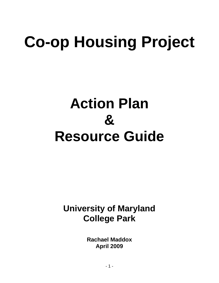# **Co-op Housing Project**

# **Action Plan & Resource Guide**

# **University of Maryland College Park**

**Rachael Maddox April 2009**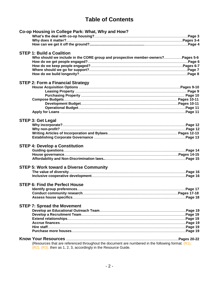# **Table of Contents**

|  | Co-op Housing in College Park: What, Why and How?                                                     |  |
|--|-------------------------------------------------------------------------------------------------------|--|
|  |                                                                                                       |  |
|  |                                                                                                       |  |
|  |                                                                                                       |  |
|  | <b>STEP 1: Build a Coalition</b>                                                                      |  |
|  | Who should we include in the CORE group and prospective member-owners?Pages 5-6                       |  |
|  |                                                                                                       |  |
|  |                                                                                                       |  |
|  |                                                                                                       |  |
|  |                                                                                                       |  |
|  | <b>STEP 2: Form a Financial Strategy</b>                                                              |  |
|  |                                                                                                       |  |
|  |                                                                                                       |  |
|  |                                                                                                       |  |
|  |                                                                                                       |  |
|  |                                                                                                       |  |
|  |                                                                                                       |  |
|  |                                                                                                       |  |
|  | <b>STEP 3: Get Legal</b>                                                                              |  |
|  |                                                                                                       |  |
|  |                                                                                                       |  |
|  |                                                                                                       |  |
|  |                                                                                                       |  |
|  | <b>STEP 4: Develop a Constitution</b>                                                                 |  |
|  |                                                                                                       |  |
|  |                                                                                                       |  |
|  |                                                                                                       |  |
|  |                                                                                                       |  |
|  | <b>STEP 5: Work toward a Diverse Community</b>                                                        |  |
|  |                                                                                                       |  |
|  |                                                                                                       |  |
|  | <b>STEP 6: Find the Perfect House</b>                                                                 |  |
|  |                                                                                                       |  |
|  |                                                                                                       |  |
|  |                                                                                                       |  |
|  | <b>STEP 7: Spread the Movement</b>                                                                    |  |
|  |                                                                                                       |  |
|  |                                                                                                       |  |
|  |                                                                                                       |  |
|  |                                                                                                       |  |
|  |                                                                                                       |  |
|  |                                                                                                       |  |
|  |                                                                                                       |  |
|  | (Resources that are referenced throughout the document are numbered in the following format: $(R1)$ , |  |
|  | (R2), (R3), then as 1, 2, 3, accordingly in the Resource Guide.                                       |  |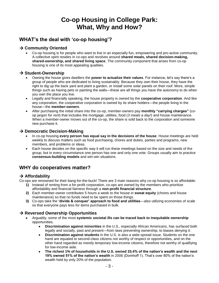# **Co-op Housing in College Park: What, Why and How?**

# **WHAT"s the deal with "co-op housing"?**

#### **→ Community Oriented**

 Co-op housing is for people who want to live in an especially fun, empowering and pro-active community. A collective spirit resides in co-ops and revolves around **shared meals, shared decision-making, shared-ownership, and shared living space**. The community component that arises from co-op housing is one of its most appealing qualities.

#### $→$  **Student-Ownership**

- Owning the house gives dwellers the **power to actualize their values**. For instance, let's say there's a group of people who are dedicated to living sustainably. Because they own their house, they have the right to dig up the back yard and plant a garden, or install some solar panels on their roof. More, simple things such as having pets or painting the walls—these are all things you have the autonomy to do when you own the place you live.
- Legally and financially speaking, the house property is owned by the **cooperative corporation**. And like any corporation, the cooperative corporation is owned by its share holders—the people living in the house—the **member-owners**.
- After purchasing the initial share into the co-op, member-owners pay **monthly "carrying charges"** (coop jargon for *rent*) that includes the mortgage, utilities, food (*3 meals a day!*) and house maintenance. When a member-owner moves out of the co-op, the share is sold back to the corporation and someone new purchase it.

#### $\rightarrow$  **Democratic Decision-Making**

- In co-op housing **every person has equal say in the decisions of the house**. House meetings are held weekly to discuss matters such as food purchasing, chores and duties, parties and programs, new members, and problems or ideas.
- Each house decides on the specific way it will run these meetings based on the size and needs of the group, but in every circumstance one person has one and only one vote. Groups usually aim to practice **consensus-building models** and win-win situations.

# **WHY do cooperatives matter?**

#### **Affordability**

Co-ops are renowned for their bang-for-the-buck! There are 3 main reasons why co-op housing is so affordable:

- **1)** Instead of renting from a for-profit corporation, co-ops are owned by the members who prioritize affordability and financial fairness through a **non-profit financial structure**.
- **2)** Each member-owner contributes 5 hours a week to the house in **sweat equity** (chores and house maintenance) so that no funds need to be spent on those things.
- **3)** Co-ops take the **"divide & conquer" approach to food and utilities**—also utilizing economies of scale so that everyone pays less for items purchased in bulk.

#### $→$  **Reversed Ownership Opportunities**

- Arguably, some of the most **systemic societal ills can be traced back to inequitable ownership** opportunities.
	- **Discrimination against minorities** in the U.S., especially African Americans, has surfaced both legally and socially, past and present—from laws preventing ownership, to biases denying it.
	- **Discrimination against students** in the U.S. is also a wide-spread issue. Students on the one hand are equated to second-class citizens not worthy of respect or opportunities, and on the other hand regarded as merely *temporary* low-income citizens, therefore not worthy of qualifying for low-income aide.
	- **The richest 1% of households in the U.S. owned 33.4% of the nation"s wealth and the next 19% owned 51% of the nation"s wealth** in 2006 (Domhoff 1). That's over 80% of the nation's wealth held by only 20% of the population.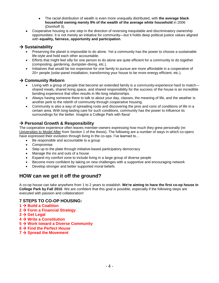- The racial distribution of wealth is even more unequally distributed, with **the average black household owning merely 9% of the wealth of the average white household** in 2006 (Domhoff 3).
- Cooperative housing is *one step* in the direction of reversing inequitable and discriminatory ownership opportunities. It is not merely an initiative for community—but it holds deep political justice values aligned with **equality, fairness, opportunity and participation**.

#### $\rightarrow$  Sustainability

- Preserving the planet is impossible to do alone. Yet a community has the power to choose a sustainable life-style and hold each other accountable.
- Efforts that might feel silly for one person to do alone are quite efficient for a community to do together (composting, gardening, dumpster-diving, etc.).
- Initiatives that would be too expensive for one family to pursue are more affordable in a cooperative of 20+ people (solar-panel installation, transforming your house to be more energy efficient, etc.).

### **→ Community Reborn**

- Living with a group of people that become an extended family is a community-experience hard to match shared meals, shared living space, and shared responsibility for the success of the house is an incredible bonding experience that often results in life-long relationships.
- Always having someone there to talk to about your day, classes, the meaning of life, and the weather is another perk to the rebirth of community through cooperative housing.
- Community is also a way of spreading roots and discovering the pros and cons of conditions of life in a certain area. With long-lasting care for such conditions, community has the power to influence its surroundings for the better. Imagine a College Park with flava!

### **Personal Growth & Responsibility**

The cooperative experience often leaves member-owners expressing how much they grew personally (re: Universities to Model After from Section 1 of the thesis). The following are a number of ways in which co-opers have expressed their evolution through living in the co-ops. I've learned to...

- Be responsible and accountable to a group
- Compromise
- Step up to the plate through initiative-based participatory democracy
- Manage the ins and outs of a house
- Expand my comfort zone to include living in a large group of diverse people
- Become more confident by taking on new challenges with a supportive and encouraging network
- Develop stronger and better supported moral beliefs

## **HOW can we get it off the ground?**

A co-op house can take anywhere from 1 to 2 years to establish. **We're aiming to have the first co-op house in College Park by Fall 2010**. We are confident that this goal is possible, especially if the following steps are executed with passion and collaboration!

#### **7 STEPS TO CO-OP HOUSING:**

- **1 → Build a Coalition**
- **2 → Form a Financial Strategy**
- $3 \rightarrow$  Get Legal
- **4 → Write a Constitution**
- **5 Work toward a Diverse Community**
- **6 Find the Perfect House**
- **7 → Spread the Movement**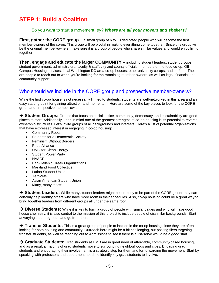# **STEP 1: Build a Coalition**

#### So you want to start a movement, ey? *Where are all your movers and shakers?*

**First, gather the CORE group** – a small group of 6 to 10 dedicated people who will become the first member-owners of the co-op. This group will be pivotal in making everything come together. Since this group will be the original member-owners, make sure it is a group of people who share similar values and would enjoy living together.

**Then, engage and educate the larger COMMUNITY** – including student leaders, student groups, student government, administrators, faculty & staff, city and county officials, members of the food co-op, Off-Campus Housing services, local Washington DC area co-op houses, other university co-ops, and so forth. These are people to reach out to when you're looking for the remaining member-owners, as well as legal, financial and community support.

## Who should we include in the CORE group and prospective member-owners?

While the first co-op house is not necessarily limited to students, students are well-networked in this area and an easy starting point for gaining attraction and momentum. Here are some of the key places to look for the CORE group and prospective member-owners:

→ Student Groups: Groups that focus on social justice, community, democracy, and sustainability are good places to start. Additionally, keep in mind one of the greatest strengths of co-op housing is its potential to reverse ownership structures. Let's invite groups of all backgrounds and interests! Here's a list of potential organizations that have expressed interest in engaging in co-op housing:

- Community Roots
- Students for a Democratic Society
- Feminism Without Borders
- Pride Alliance
- UMD for Clean Energy
- Student Power Party
- **NAACP**
- Pan-Hellenic Greek Organizations
- Maryland Food Collective
- Latino Student Union
- **TerpVets**
- Asian American Student Union
- Many, many more!

→ Student Leaders: While many student leaders might be too busy to be part of the CORE group, they can certainly help identify others who have more room in their schedules. Also, co-op housing could be a great way to bring together leaders from different groups all under the same roof.

→ **Diverse Students:** While it is key to form a group of people with similar values and who will have good house chemistry, it is also central to the mission of this project to include people of dissimilar backgrounds. Start at varying student groups and go from there.

→ **Transfer Students:** This is a great group of people to include in the co-op housing since they are often looking for both housing and community. Outreach here might be a bit challenging, but posting fliers targeting transfer students, as well as reaching out to Admissions to see if there is a list-serve would be a good start.

→ Graduate Students: Grad students at UMD are in great need of affordable, community-based housing, and as a result a majority of grad students move to surrounding neighborhoods and cities. Engaging grad students and encouraging their involvement is a strategic step for them and for forwarding the movement. Start by speaking with professors and department heads to identify key grad students to involve.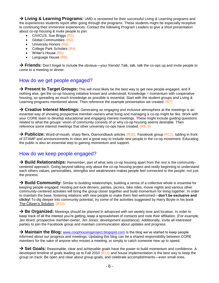→ Living & Learning Programs: UMD is renowned for their successful Living & Learning programs and the experiences students report after going through the programs. These students might be especially receptive to continuing their immersive experiences. Contact the following Program Leaders to give a short presentation about co-op housing & invite people to join:

- CIVICUS: Sue Briggs (R1)
- Global Communities: (R2)
- University Honors (R3)
- College Park Scholars (R4)
- Writer's House (R5)
- Language House (R6)

**→ Friends:** Don't forget to include the obvious—your friends! Talk, talk, talk the co-ops up and invite people to come to a meeting or dinner.

## How do we get people engaged?

→ Present to Target Groups: This will most likely be the best way to get new people engaged, and if nothing else, get the co-op housing initiative known and understood. Knowledge = momentum with cooperative housing, so spreading as much knowledge as possible is essential. Start with the student groups and Living & Learning programs mentioned above. Then reference the example presentation we created. (R7)

→ Creative Interest Meetings: Generating an engaging and inclusive atmosphere at the meetings is an essential way of showing prospective member-owners what living and managing a co-op might be like. Work with your CORE team to develop educational and engaging interest meetings. These might include guiding questions related to what the groups' vision of community consists of or why co-op housing seems desirable. Then reference some interest meetings that other university co-ops have created. (R8, 9)

→ Publicize: Word-of-mouth, sharp fliers, Diamondback articles (R10), Facebook group (R11), tabling in front of STAMP and announcements in class are a great way to include new people in the co-op movement. Educating the public is also an essential step to gaining momentum and support.

## How do we keep people engaged?

**→ Build Relationships:** Remember, part of what sets co-op housing apart from the rest is the communitycentered approach. Going beyond talking only about the co-op housing project and really beginning to understand each others values, personalities, strengths and weaknesses makes people feel connected to the people, not just the process.

**→ Build Community:** Similar to building relationships, building a sense of a collective whole is essential for keeping people engaged. Hosting pot-luck dinners, parties, picnics, bike rides, movie nights and various other community-centered activities will bring the group closer together and build momentum for living together. In order to maintain the base, fostering relations with new people to make them feel welcomed—**don"t be exclusive and clicky!** To dig deeper into community potential, try some of the activities suggested by Harry Boyte in his book The Citizen's Solution. (R12)

→ Be Organized: Meetings should be planned in advanced with set weekly time and location. In order to keep track of all the interest you're getting, keep a spreadsheet of contacts and note their affiliation. (For example, Jen Ward: prospective member-owner, Jim Jones: development assistance). Additionally, invite all interested parties to join the Facebook group and maintain communication about updates and progress.

→ **Maintain the Blog:** [www.coophousingproject.blogspot.com](http://www.coophousingproject.blogspot.com/) is the blog we've started to keep people informed about our progress and meetings. Updating this blog can be a shared responsibility between CORE members for the sake of anyone who misses a meeting, or simply to catch someone new up to speed.

→ Set Goals: Reasonable, clear and achievable goals have the power to build momentum and confidence. A developed timeline of goals leading up to Fall 2010 (R13) and house implementation is the best way to keep the group on track. Be open and clear about group goals, and celebrate accomplishments—even small ones.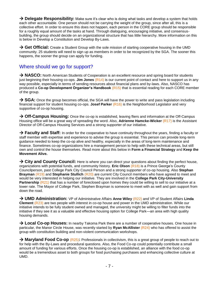→ Delegate Responsibility: Make sure it's clear who is doing what tasks and develop a system that holds each other accountable. One person should not be carrying the weight of the group, since after all, this is a collective effort. In order to ensure this does not happen, each person in the CORE group should be responsible for a roughly equal amount of the tasks at hand. Through dialoguing, encouraging initiative, and consensusbuilding, the group should decide on an organizational structure that has little hierarchy. More information on this is below in Develop a Constitution and Develop By-Laws.

→ Get Official: Create a Student Group with the sole mission of starting cooperative housing in the UMD community. 25 students will need to sign up as members in order to be recognized by the SGA. The sooner this happens, the sooner the group can apply for funding.

# Where should we go for support?

→ NASCO: North American Students of Cooperation is an excellent resource and spring board for students just beginning their housing co-ops. **Jim Jones** (R14) is our current point of contact and here to support us in any way possible, especially in terms of sending resources about financial plans and by-laws. Also, NASCO has produced a **Co-op Development Organizer"s Handbook** (R15) that is essential reading for each CORE member of the group.

→ SGA: Once the group becomes official, the SGA will have the power to write and pass legislation including financial support for student housing co-ops. **Josef Parker** (R16) is the Neighborhood Legislator and very supportive of co-op housing.

→ Off-Campus Housing: Once the co-op is established, leaving fliers and information at the Off-Campus Housing office will be a great way of spreading the word. Also, **Adrienne Hamcke-Wicker** (R17) is the Assistant Director of Off-Campus Housing Services and a strong supporter of our initiative.

→ Faculty and Staff: In order for the cooperative to have continuity throughout the years, finding a faculty or staff member with expertise and experience to advise the group is essential. This person can provide long-term guidance needed to keep the co-op alive and healthy, especially in the areas of long-term maintenance and finance. Sometimes co-op organizations hire a management person to help with these technical areas, but still own and control the house themselves. Read more about this below in **Form a Financial Strategy** and **Keep the Movement Alive.**

→ City and County Council: Here is where you can direct your questions about finding the perfect house, organizations with potential funds, and community history. **Eric Olson** (R18) is a Prince George's County Councilperson, past College Park City Council Person and a strong supporter of co-op housing. Also **Stephan Brayman** (R19) and **Stephanie Stullich** (R20) are current City Council members who have agreed to meet and would be very interested in helping our initiative. They are involved in the **College Park City-University Partnership** (R21) that has a number of foreclosed upon homes they could be willing to sell to our initiative at a lower rate. The Mayor of College Park, Stephen Brayman is someone to meet with as well and gain support from down the road.

→ UMD Administration: VP of Administrative Affairs Anne Wiley (R22) and VP of Student Affairs Linda **Clement** (R23) are two people with interest in co-op house and power in the UMD administration. While our initiative intends to be fully student owned and managed, the university might be willing to filter funds into the initiative if they see it as a valuable and effective housing option for College Park—an area with high quality housing demands.

→ Local Co-op Houses: In nearby Takoma Park there are a number of cooperative houses. One house in particular, the Manor Circle House, was recently started by **Ryan McAllister** (R24) who has offered to assist the group with constitution building and non-violent communication workshops.

→ Maryland Food Co-op (R25): Professionals in collectivism, this is a great group of people to reach out to for help with the By-Laws and procedural questions. Also, the Food Co-op could potentially contribute a small amount of funding for various efforts. Once the housing co-op is established, an alliance with the food co-op would be a tremendous asset to both groups for food purchasing purchases and enhancing collective culture at UMD.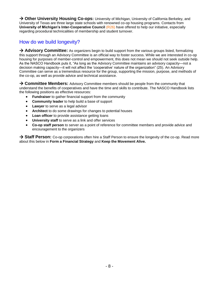→ Other University Housing Co-ops: University of Michigan, University of California Berkeley, and University of Texas are three large state schools with renowned co-op housing programs. Contacts from **University of Michigan's Inter-Cooperative Council (R26)** have offered to help our initiative, especially regarding procedural technicalities of membership and student turnover.

# How do we build longevity?

→ **Advisory Committee:** As organizers begin to build support from the various groups listed, formalizing this support through an Advisory Committee is an official way to foster success. While we are interested in co-op housing for purposes of member-control and empowerment, this does not mean we should not seek outside help. As the NASCO Handbook puts it, "As long as the Advisory Committee maintains an advisory capacity—not a decision making capacity—it will not affect the 'cooperative' nature of the organization" (25). An Advisory Committee can serve as a tremendous resource for the group, supporting the mission, purpose, and methods of the co-op, as well as provide advice and technical assistance.

→ **Committee Members:** Advisory Committee members should be people from the community that understand the benefits of cooperatives and have the time and skills to contribute. The NASCO Handbook lists the following positions as effective resources:

- **Fundraiser** to gather financial support from the community
- **Community leader** to help build a base of support
- **Lawyer** to serve as a legal advisor
- **Architect** to do some drawings for changes to potential houses
- **Loan officer** to provide assistance getting loans
- **University staff** to serve as a link and offer services
- **Co-op staff person** to server as a point of reference for committee members and provide advice and encouragement to the organizers

→ Staff Person: Co-op corporations often hire a Staff Person to ensure the longevity of the co-op. Read more about this below in **Form a Financial Strategy** and **Keep the Movement Alive.**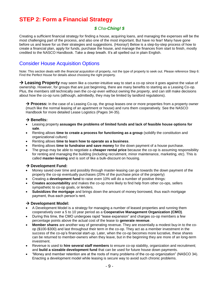# **STEP 2: Form a Financial Strategy**

## *\$ Cha-Ching! \$*

Creating a sufficient financial strategy for finding a house, acquiring loans, and managing the expenses will be the most challenging part of the process, and also one of the most important. But have no fear! Many have gone before us and leave for us their strategies and suggestions. (Hooray!) Below is a step-by-step process of how to create a financial plan, apply for funds, purchase the house, and manage the finances from start to finish, mostly credited to the NASCO Handbook. Take a deep breath. It's all spelled out in plain English.

# Consider House Acquisition Options

Note: This section deals with the *financial acquisition* of property, not the *type* of property to seek out. Please reference Step 6: Find the Perfect House for details about choosing the right property.

→ Leasing Property may seem like a counter-intuitive way to start a co-op since it goes against the value of ownership. However, for groups that are just beginning, there are many benefits to starting as a Leasing Co-op. Plus, the members still technically own the *co-op* even without owning the *property*, and can still make decisions about how the co-op runs (although, admittedly, they may be limited by landlord regulations).

→ **Process:** In the case of a Leasing Co-op, the group leases one or more properties from a property owner (much like the normal leasing of an apartment or house) and runs them cooperatively. See the NASCO Handbook for more detailed Lease Logistics (Pages 34-35).

#### $→$  **Benefits:**

- Leasing property **assuages the problems of limited funds and lack of feasible house options for sale**.
- Renting allows **time to create a process for functioning as a group** (solidify the constitution and organizational culture)
- Renting allows **time to learn how to operate as a business**.
- Renting allows **time to fundraise and save money** for the down payment of a house purchase.
- The group may be able to negotiate a **cheaper rental price** because the co-op is assuming responsibility for renting and managing the building (including recruitment, minor maintenance, marketing, etc). This is called **master-leasing** and is sort of like a bulk-discount on housing.

#### $→$  **Development Fund:**

- Money saved over time and possibly through master-leasing can go towards the down payment of the property the co-op eventually purchases (20% of the purchase price of the property)
- Creating a **development fund** to raise even 10% will do a number of positive things:
- **Creates accountability** and makes the co-op more likely to find help from other co-ops, sellers sympathetic to co-op goals, or lenders.
- **Subsidizes the mortgage** and brings down the amount of money borrowed, thus each mortgage payment, thus each person's rent.

#### $\rightarrow$  **Development Model:**

- A Development Model is a strategy for managing a number of leased properties and running them cooperatively over a 5 to 10 year period as a **Cooperative Management Organization (CMO)**.
- During this time, the CMO undergoes rapid "lease expansion" and charges co-op members a few percentage points above the actual cost of the lease to **generate revenue**.
- **Member shares** are another way of generating revenue. They are essentially a modest buy-in to the coop (\$100-\$300) and last throughout their term in the co-op. They act as a member investment in the success of the co-op's financial start-up. Later, when the co-op becomes more lucrative, these shares can be returned to member-owners when they leave, but in the beginning they are more of an long-term investment.
- Revenue is used to **hire several staff members** to ensure co-op stability, organization and recruitment; and **build a sizeable development fund** that can be used for future house down payments.
- "Money and member retention are at the roots of many problems of the co-op organization" (NASCO 34). Enacting a development model while leasing is secure way to avoid such chronic problems.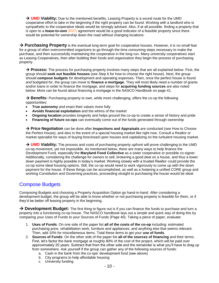→ **UMD Viability:** Due to the mentioned benefits, Leasing Property is a sound route for the UMD cooperative effort to take in the beginning if the right property can be found. Working with a landlord who is sympathetic to the cooperative ideals would be strongly advised. Also, if at all possible, finding a property that is open to a **lease-to-own** (R27) agreement would be a good indicator of a feasible property since there would be potential for ownership down the road without changing locations.

→ **Purchasing Property** is the eventual long-term goal for cooperative houses. However, it is no small feat for a group of often overcommitted organizers to go through the time consuming steps necessary to make the purchase, and then successfully maintaining the cooperative in the long-run. Many university cooperatives start as Leasing Cooperatives, then after building their funds and organization they begin the process of purchasing property.

→ **Process:** The process for purchasing property involves many steps that are all explained below. First, the group should **seek out feasible houses** (see Step 6 for how to choose the right house). Next, the group should **compose budgets** for development and operating expenses. Then, once the perfect house is found *and* budgeted for, the group can move to **finance a mortgage**. They will most likely need a number of grants and/or loans in order to finance the mortgage, and steps for **acquiring funding sources** are also noted below. More can be found about financing a mortgage in the NASCO Handbook on page 41.

**Benefits:** Purchasing property to own, while more challenging, offers the co-op the following opportunities:

- **True autonomy** and enact their values more fully
- **Avoids financial exploitation** and the whims of the market
- **Ongoing location** provides longevity and helps ground the co-op to create a sense of history and pride
- **Financing of future co-ops** can eventually come out of the funds generated through ownership

→ **Price Negotiation** can be done after **Inspections and Appraisals** are conducted (see How to Choose the Perfect House), and also in the event of a special housing market like right now. Consult a Realtor or market specialist for ways of buying foreclosed upon houses and capitalizing on the turbulent housing market.

→ **UMD Viability:** The process and costs of purchasing property upfront will prove challenging to the UMD co-op movement, yet not impossible. As mentioned below, there are many ways to help finance the Development Fund, especially the **Maryland Food Collective** as a sister cooperative or possible co-signer. Additionally, considering the challenge for owners to sell, brokering a good deal on a house, and thus a lower down payment is highly possible in today's market. Working closely with a trusted Realtor could provide the co-op some ideal housing options. Still, the co-op would need to work vigorously to come up with the down payment for the house. If these things can be accomplished, as well as a fostering a unified CORE group and working Constitution and Governing practices, proceeding straight to purchasing the house would be ideal.

# Compose Budgets

Composing Budgets and choosing a Property Acquisition Option go hand-in-hand. After considering a development budget, the group will be able to know whether or not purchasing property is feasible for them, or if they'd be better off leasing property in the beginning.

→ Development Budget: The first thing to figure out is if you can finance the funds to purchase and turn a property into a functioning co-op house. The NASCO handbook lays out a simple and quick way of doing this by comparing your Uses of Funds to your Sources of Funds (Page 40). Taking a piece of paper, evaluate:

- 1. **Uses of Funds**: On one side of the paper list **all of the costs of the co-op** including: estimated purchasing price, rehabilitation work, furniture and appliances, and anything else that seems relevant. Then, add 10% for miscellaneous items. Total these items to get your **use of funds**.
- 2. **Sources of Funds**: On the other side of the paper list **all of the sources of financing** and their terms. First, let's factor the bank mortgage at roughly 80% of the cost of the project, which will be paid over approximately 20 years. Subtract that from the other side and the remainder is what you'll have to drag up from somewhere. Ask yourself if the group can gather any of the following sources of funds:
	- a. Cash in the bank from the co-ops' development fund (see above)
	- b. City programs to help affordable housing
	- c. University funding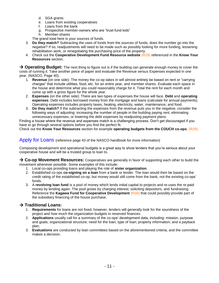- d. SGA grants
- e. Loans from existing cooperatives
- f. Loans from the bank
- g. Prospective member-owners who are "trust-fund kids"
- h. Member-shares

The grand total here is your sources of funds.

- 3. **Do they match?** Subtracting the uses of funds from the sources of funds, does the number go into the negative? If so, readjustments will need to be made such as possibly looking for more funding, lessening rehabilitation work, or renegotiating the purchasing price of the property.
- 4. Check out the **Cooperative Development Fund Resource website** (R28) referenced in the **Know Your Resources** section.

→ Operating Budget: The next thing to figure out is if the building can generate enough money to cover the costs of running it. Take another piece of paper and evaluate the Revenue versus Expenses expected in one year. (NASCO, Page 40).

- 1. **Revenue** (on one side): The money the co-op takes in will almost entirely be based on rent or "carrying" charges‖ that include utilities, food, etc. for an entire year, and member shares. Evaluate each space in the house and determine what you could reasonably charge for it. Total the rent for each month and come up with a gross figure for the whole year.
- 2. **Expenses** (on the other side): There are two types of expenses the house will face. **Debt** and **operating expenses**. Debt includes borrowed money from the mortgage and loans (calculate for annual payments). Operating expenses includes property taxes, heating, electricity, water, maintenance, and food.
- 3. **Do they match?** If the subtracting the expenses from the revenue puts you in the negative, consider the following ways of adjusting: increasing the number of people in the building paying rent, eliminating unnecessary expenses, or lowering the debt expenses by readjusting payment plans.

Finding a house where the revenue and expenses match is a challenging process. Don't get discouraged if you have to go through several options before you find the perfect fit.

Check out the **Know Your Resources** section for example **operating budgets from the COUCH co-ops**. (R29).

Apply for Loans (reference page 43 of the NASCO handbook for more information)

Composing development and operational budgets is a great way to show lenders that you're serious about your cooperative house and will be a trusted group to loan to.

→ Co-op Movement Resources: Cooperatives are generally in favor of supporting each other to build the movement whenever possible. Some examples of this include:

- 1. Local co-ops providing loans and playing the role of **sister organization**.
- 2. Established co-ops **co-signing on a loan** from a bank or lender. The loan would then be based on the credit rating of the established co-op, but money would still come from the bank, not the existing co-ops' funds.
- 3. A **revolving loan fund** is a pool of money which lends initial capital to projects and re-uses the re-paid money by lending again. The pool grows by charging interest, soliciting depositors, and fundraising. Reference the **Kagawa Fund for Cooperative Development** (R30) that could possibly provide part of the subsidiary financing of the house purchase.

#### $→$  **Traditional Loans:**

- 1. **Requirements** for loans are not fixed, however, lenders will generally look for the soundness of the project and how much the organization budgets in reserved finances.
- 2. **Applications** usually call for a summary of the co-ops' development data, including: mission, purpose and goals; organizational structure; need for the loan; type of loan; property information; and a payback plan.
- 3. **Evaluations** are conducted by loan committees based on the aforementioned criteria, and the committee makes a decision.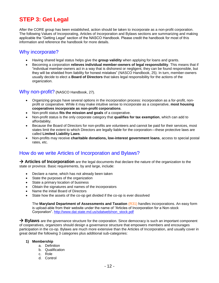# **STEP 3: Get Legal**

After the CORE group has been established, action should be taken to incorporate as a non-profit corporation. The following Values of Incorporating, Articles of Incorporation and Bylaws sections are summarizing and making applicable the "Getting Legal" section of the NASCO Handbook. Please credit the handbook for most of this information and reference the handbook for more details.

### Why incorporate?

- Having shared legal status helps give the **group validity** when applying for loans and grants.
- Becoming a corporation **relieves individual member-owners of legal responsibility**. This means that if ―individual member-owners act in a way that is dishonest or negligent, they can be found responsible, but they will be shielded from liability for honest mistakes" (NASCO Handbook, 25). In turn, member-owners usually decide to elect a **Board of Directors** that takes legal responsibility for the actions of the organization.

#### Why non-profit? (NASCO Handbook, 27).

- Organizing groups have several options in the incorporation process: incorporation as a for-profit, nonprofit or cooperative. While it may make intuitive sense to incorporate as a cooperative, **most housing cooperatives incorporate as non-profit corporations**.
- Non-profit status **fits the mission and goals** of a cooperative.
- Non-profit status is the only corporate category that **qualifies for tax exemption**, which can add to affordability.
- Because the Board of Directors for non-profits are volunteers and cannot be paid for their services, most states limit the extent to which Directors are legally liable for the corporation—these protective laws are called **Limited Liability Laws**.
- Non-profits may receive **charitable donations, low-interest government loans**, access to special postal rates, etc.

## How do we write Articles of Incorporation and Bylaws?

→ **Articles of Incorporation** are the legal documents that declare the nature of the organization to the state or province. Basic requirements, by and large, include:

- Declare a name, which has not already been taken
- State the purposes of the organization
- State a primary location of business
- Obtain the signatures and names of the incorporators
- Name the initial Board of Directors
- State how the assets of the co-op get divided if the co-op is ever dissolved

The **Maryland Department of Assessments and Taxation** (R31) handles incorporations. An easy form is upload-able from their website under the name of "Articles of Incorporation for a Non-stock Corporation". [http://www.dat.state.md.us/sdatweb/non\\_stock.pdf](http://www.dat.state.md.us/sdatweb/non_stock.pdf)

**→ Bylaws** are the governance structure for the corporation. Since democracy is such an important component of cooperatives, organizers should design a governance structure that empowers members and encourages participation in the co-op. Bylaws are much more extensive than the Articles of Incorporation, and usually cover in great detail the following 3 categories plus additional sub-categories:

#### **1) Membership**

- a. Definition
- b. Qualification
- c. Role
- d. Control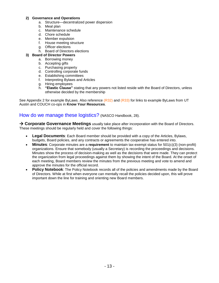#### **2) Governance and Operations**

- a. Structure—decentralized power dispersion
- b. Meal plan
- c. Maintenance schedule
- d. Chore schedule
- e. Member expulsion
- f. House meeting structure
- g. Officer elections
- h. Board of Directors elections

#### **3) Board of Director Powers**

- a. Borrowing money
- b. Accepting gifts
- c. Purchasing property
- d. Controlling corporate funds
- e. Establishing committees
- f. Interpreting Bylaws and Articles
- g. Hiring employees
- h. **"Elastic Clause"** stating that any powers not listed reside with the Board of Directors, unless otherwise decided by the membership

See Appendix 2 for example ByLaws. Also reference (R32) and (R33) for links to example ByLaws from UT Austin and COUCH co-ops in **Know Your Resources**.

#### How do we manage these logistics? (NASCO Handbook, 28).

→ Corporate Governance Meetings usually take place after incorporation with the Board of Directors. These meetings should be regularly held and cover the following things:

- **Legal Documents**: Each Board member should be provided with a copy of the Articles, Bylaws, budgets, Board policies, and any contracts or agreements the cooperative has entered into.
- **Minutes**: Corporate minutes are a **requirement** to maintain tax-exempt status for 501(c)(3) (non-profit) organizations. Ensure that somebody (usually a Secretary) is recording the proceedings and decisions. Minutes show the process of decision-making as well as the decisions that were made. They can protect the organization from legal proceedings against them by showing the intent of the Board. At the onset of each meeting, Board members review the minutes from the previous meeting and vote to amend and approve the minutes for the official record.
- Policy Notebook: The Policy Notebook records all of the policies and amendments made by the Board of Directors. While at first when everyone can mentally recall the policies decided upon, this will prove important down the line for training and orienting new Board members.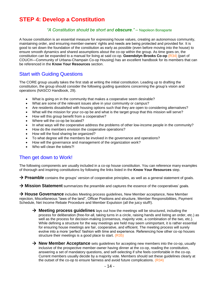# **STEP 4: Develop a Constitution**

#### *"A Constitution should be short and obscure."* – Napoleon Bonaparte

A house constitution is an essential measure for expressing house values, creating an autonomous community, maintaining order, and ensuring member-owners' rights and needs are being protected and provided for. It is good to set down the foundation of the constitution as early as possible (even before moving into the house) to ensure smooth dynamics and shared assumptions about the co-op within the group. As time goes on, the constitution can be expanded to a manual for living at said co-op. **Gwendolyn Brooks Co-op** (R34) (part of COUCH—Community of Urbana-Champain Co-op Housing) has an excellent handbook for its members that can be referenced in the **Know Your Resources** section.

# Start with Guiding Questions

The CORE group usually takes the first stab at writing the initial constitution. Leading up to drafting the constitution, the group should consider the following guiding questions concerning the group's vision and operations (NASCO Handbook, 29).

- What is going on in the community that makes a cooperative seem desirable?
- What are some of the relevant issues alive in your community or campus?
- Are residents dissatisfied with housing options such that they are open to considering alternatives?
- What will the mission for your co-op be and what is the target group that this mission will serve?
- How will this group benefit from a cooperative?
- Where will the co-op be located?
- In what ways will the cooperative address the problems of other low-income people in the community?
- How do the members envision the cooperative operations?
- How will the food sharing be organized?
- To what degree will the members be involved in the governance and operations?
- How will the governance and management of the organization work?
- Who will clean the toilets?

# Then get down to Work!

The following components are usually included in a co-op house constitution. You can reference many examples of thorough and inspiring constitutions by following the links listed in the **Know Your Resources** step.

→ **Preamble** contains the groups' version of cooperative principles, as well as a general statement of goals.

→ Mission Statement summarizes the preamble and captures the essence of the cooperatives' goals.

→ **House Governance** includes Meeting process guidelines, New Member acceptance, New Member rejection, Miscellaneous "laws of the land", Officer Positions and structure, Member Responsibilities, Payment Schedule, Net Income Rebate Procedure and Member Expulsion (all the juicy stuff!).

- → **Meeting process guidelines** lays out how the meetings will be structured, including the process for deliberation (free-for-all, taking turns in a circle, raising hands and listing an order, etc.) as well as the process for decision-making (consensus, majority vote, a combination of the two, etc.). While defining a structure for the way meetings are held may seem unimportant, it is rather essential for ensuring house meetings are fair, cooperative, and efficient. The meeting process will surely evolve into a more 'perfect' fashion with time and experience. Referencing how other co-op houses structure their meetings is a good place to start. (R35)
- → **New Member Acceptance** sets guidelines for accepting new members into the co-op, usually inclusive of the prospective member-owner having dinner at the co-op, reading the constitution, answering a set of mandatory questions, and self-selecting if s/he feels comfortable in the co-op. Current members usually decide by a majority vote. Members should set these guidelines clearly at the outset of the co-op to ensure fairness and avoid future complications.  $(R34)$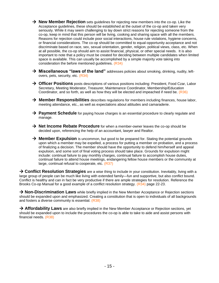- → **New Member Rejection** sets guidelines for rejecting new members into the co-op. Like the Acceptance guidelines, these should be established at the outset of the co-op and taken very seriously. While it may seem challenging to lay down strict reasons for rejecting someone from the co-op, keep in mind that this person will be living, cooking and sharing space with all the members. Reasons for rejection could include poor social interactions, house rule violations, hygiene concerns, or financial considerations. The co-op should be committed to equal-opportunity acceptance and not discriminate based on race, sex, sexual orientation, gender, religion, political views, class, etc. When at all possible, the co-op should aim to assist financial, physical, or other special needs. It is also important to note that a policy must be created for deciding between multiple candidates when limited space is available. This can usually be accomplished by a simple majority vote taking into consideration the before mentioned guidelines. (R34)
- → **Miscellaneous "laws of the land"** addresses policies about smoking, drinking, nudity, leftovers, pets, security, etc. (R34)
- → Officer Positions posts descriptions of various positions including: President, Food Czar, Labor Secretary, Meeting Moderator, Treasurer, Maintenance Coordinator, Membership/Education Coordinator, and so forth, as well as how they will be elected and impeached if need be. (R36)
- → **Member Responsibilities** describes regulations for members including finances, house labor, meeting attendance, etc., as well as expectations about attitudes and camaraderie.
- → **Payment Schedule** for paying house charges is an essential procedure to clearly regulate and manage.
- → Net Income Rebate Procedure for when a member-owner leaves the co-op should be decided upon, referencing the help of an accountant, lawyer and Realtor.
- → **Member Expulsion** is uncommon, but good to be prepared for. Stating the potential grounds upon which a member may be expelled, a process for putting a member on probation, and a process of finalizing a decision. The member should have the opportunity to defend him/herself and appeal expulsion, and some sort of final voting process should take place. Grounds for expulsion might include: continual failure to pay monthly charges, continual failure to accomplish house duties, continual failure to attend house meetings, endangering fellow house members or the community at large, continual refusal to cooperate, etc. (R37)

 **Conflict Resolution Strategies** are a wise thing to include in your constitution. Inevitably, living with a large group of people can be much like living with extended family—fun and supportive, but also conflict bound. Conflict is healthy and can in fact be very productive if there are ample strategies for resolution. Reference the Brooks Co-op Manual for a good example of a conflict resolution strategy. (R34) page 22-23.

→ **Non-Discrimination Laws** while briefly implied in the New Member Acceptance or Rejection sections should be expanded upon and emphasized. Creating a constitution that is open to individuals of all backgrounds and fosters a diverse community is essential. (R38)

→ **Affordability Laws** are also briefly implied in the New Member Acceptance or Rejection sections, yet should be expanded upon to include the procedures the co-op is able to take to aide and assist persons with financial needs. (R38)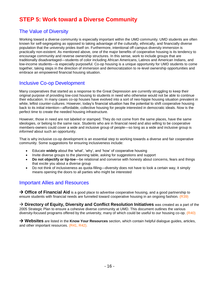# **STEP 5: Work toward a Diverse Community**

# The Value of Diversity

Working toward a diverse community is especially important within the UMD community. UMD students are often known for self-segregating as opposed to taking advantage of the culturally, ethnically, and financially diverse population that the university prides itself on. Furthermore, intentional off-campus diversity immersion is practically non-existent. As mentioned above, one of the major benefits of cooperative housing is its tendency to encourage community and reverse ownership structures. In this sense, work to include groups that are traditionally disadvantaged—students of color including African Americans, Latinos and American Indians, and low-income students—is especially purposeful. Co-op housing is a unique opportunity for UMD students to come together, taking steps in the direction of immersion and democratization to re-level ownership opportunities and embrace an empowered financial housing situation.

## Inclusive Co-op Development

Many cooperatives that started as a response to the Great Depression are currently struggling to keep their original purpose of providing low-cost housing to students in need who otherwise would not be able to continue their education. In many cases co-op houses have evolved into a sort of neo-hippie housing situation prevalent in white, leftist counter-cultures. However, today's financial situation has the potential to shift cooperative housing back to its initial intention—affordable, collective housing for people interested in democratic ideals. Now is the perfect time to create the needed housing infrastructure.

However, those in need are not labeled or stamped. They do not come from the same places, have the same ideologies, or belong to the same race. Students who are in financial need and also willing to be cooperative members-owners could cover a wide and inclusive group of people—so long as a wide and inclusive group is *informed* about such an opportunity.

That is why inclusive co-op development is an essential step to working towards a diverse and fair cooperative community. Some suggestions for ensuring inclusiveness include:

- Educate widely about the 'what', 'why', and 'how' of cooperative housing
- Invite diverse groups to the planning table, asking for suggestions and support
- **Do not objectify or tip-toe**—be relational and converse with honesty about concerns, fears and things that excite you about a diverse group
- Do not think of inclusiveness as quota-filling—diversity does not have to look a certain way, it simply means opening the doors to all parties who might be interested

## Important Allies and Resources

→ Office of Financial Aid is a good place to advertise cooperative housing, and a good partnership to ensure students with financial needs are funneled toward cooperative housing in an ongoing fashion. (R39)

→ Directory of Equity, Diversity and Conflict Resolution Initiatives was created as a part of the 2005 Strategic Plan to ensure a cohesive diverse community at UMD. This document outlines the various diversity-focused programs offered by the university, many of which could be useful to our housing co-op.  $(R40)$ 

 **Websites** are listed in the **Know Your Resources** section, which contain helpful dialogue guides, articles, and other important resources. (R41, R42).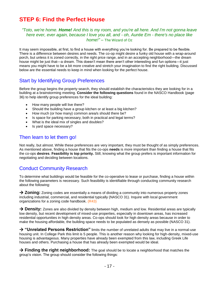# **STEP 6: Find the Perfect House**

#### *"Toto, we're home. Home! And this is my room, and you're all here. And I'm not gonna leave here ever, ever again, because I love you all, and - oh, Auntie Em - there's no place like home!"* – The Wizard of Oz

It may seem impossible, at first, to find a house with everything you're looking for. Be prepared to be flexible. There is a difference between desires and needs. The co-op might desire a funky old house with a wrap-around porch, but unless it is zoned correctly, in the right price range, and in an accepting neighborhood—the dream house might be just that—a dream. This doesn't mean there aren't other interesting and fun options—it just means you might have to be a bit more creative and stretch your imagination to find the right building. Discussed below are the essential needs to keep in mind when looking for the perfect house.

# Start by Identifying Group Preferences

Before the group begins the property search, they should establish the characteristics they are looking for in a building at a brainstorming meeting. **Consider the following questions** found in the NASCO Handbook (page 36) to help identify group preferences for the ideal building:

- How many people will live there?
- Should the building have a group kitchen or at least a big kitchen?
- How much (or how many) common area/s should there be?
- Is space for parking necessary, both in practical and legal terms?
- What is the ideal mix of singles and doubles?
- Is yard space necessary?

# Then learn to let them go!

Not really, but almost. While these preferences are very important, they must be thought of as simply preferences. As mentioned above, finding a house that fits the co-ops **needs** is more important than finding a house that fits the co-ops **desires**. **Feasibility is top priority.** Still, knowing what the group prefers is important information for negotiating and deciding between locations.

# Conduct Community Research

To determine what buildings would be feasible for the co-operative to lease or purchase, finding a house within the following parameters is necessary. Such feasibility is identifiable through conducting community research about the following:

→ **Zoning:** Zoning codes are essentially a means of dividing a community into numerous property zones including industrial, commercial, and residential typically (NASCO 31). Inquire with local government organizations for a zoning code handbook. (R43)

→ Density: Zones are also divided by density between high, medium and low. Residential areas are typically low density, but recent development of mixed-use properties, especially in downtown areas, has increased residential opportunities in high density areas. Co-ops should look for high density areas because in order to make the housing affordable, the building space needs to be populated as densely as possible (NASCO 31).

 **"Unrelated Persons Restriction"** limits the number of unrelated adults that may live in a normal-use housing unit. In College Park this limit is 5 people. This is another reason why looking for high-density, mixed-use housing is advantageous. Many properties have already been exempted from this law, including Greek Life houses and others. Purchasing a house that has already been exempted would be ideal.

→ Finding the right neighborhood: The goal should be to locate a neighborhood that matches the group's vision. The group should consider the following things: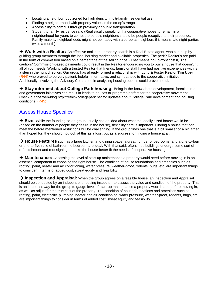- Locating a neighborhood zoned for high density, multi-family, residential use
- Finding a neighborhood with property values in the co-op's range
- Accessibility to campus through proximity or public transportation
- Student to family residence ratio (Realistically speaking, if a cooperative hopes to remain in a neighborhood for years to come, the co-op's neighbors should be people receptive to their presence. Family-majority neighborhoods might not be happy with a co-op as neighbors if it means late night parties twice a month).

→ **Work with a Realtor:** An effective tool in the property search is a Real Estate agent, who can help by guiding group members through the local housing market and available properties. The perk? Realtor's are paid in the form of commission based on a percentage of the selling price. (That means no up-front costs!) The caution? Commission-based payments could result in the Realtor encouraging you to buy a house that doesn't fit all of your needs. Working with a trusted Realtor that friends, family or staff have had positive experiences with is a step in the right direction. Our group has already formed a relationship with Long & Foster Realtor **Tim Uber** (R44) who proved to be very patient, helpful, informative, and sympathetic to the cooperative initiative. Additionally, involving the Advisory Committee in analyzing housing options could prove useful.

→ Stay informed about College Park housing: Being in-the-know about development, foreclosures, and government initiatives can result in leads to houses or programs perfect for the cooperative movement. Check out the web-blog [http://rethinkcollegepark.net](http://rethinkcollegepark.net/) for updates about College Park development and housing conditions. (R45)

# Assess House Specifics

→ Size: While the founding co-op group usually has an idea about what the ideally sized house would be (based on the number of people they desire in the house), flexibility here is important. Finding a house that can meet the before mentioned restrictions will be challenging. If the group finds one that is a bit smaller or a bit larger than hoped for, they should not look at this as a loss, but as a success for finding a house at all.

→ **House Features** such as a large kitchen and dining space, a great number of bedrooms, and a one-to-four or one-to-five ratio of bathroom to bedroom are ideal. With that said, oftentimes buildings undergo some sort of refurbishment and redesigning to make the house better fit the needs of cooperative housing.

→ **Maintenance:** Assessing the level of start-up maintenance a property would need before moving in is an essential component to choosing the right house. The condition of house foundations and amenities such as roofing, paint, heater and air conditioning, water pressure, weather-proof, rodents, bugs, etc. are important things to consider in terms of added cost, sweat equity and feasibility.

→ Inspection and Appraisal: When the group agrees on a feasible house, an Inspection and Appraisal should be conducted by an independent housing inspector, to assess the value and condition of the property. This is an important way for the group to gauge level of start-up maintenance a property would need before moving in, as well as adjust for the true cost of the property. The condition of house foundations and amenities such as roofing, paint, electricity, plumbing, heater and air conditioning, water pressure, weather-proof, rodents, bugs, etc. are important things to consider in terms of added cost, sweat equity and feasibility.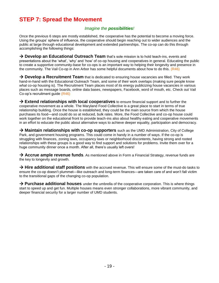# **STEP 7: Spread the Movement**

#### *Imagine the possibilities!*

Once the previous 6 steps are mostly established, the cooperative has the potential to become a moving force. Using the groups' sphere of influence, the cooperative should begin reaching out to wider audiences and the public at large through educational development and extended partnerships. The co-op can do this through accomplishing the following things:

→ **Develop an Educational Outreach Team** that's sole mission is to hold teach-ins, events and presentations about the 'what', 'why' and 'how' of co-op housing and cooperatives in general. Educating the public to create a supportive community-base for co-ops is an important way to helping their longevity and presence in the community. The Vail Co-op in Ann Arbor has some helpful documents about how to do this. (R46)

→ Develop a Recruitment Team that is dedicated to ensuring house vacancies are filled. They work hand-in-hand with the Educational Outreach Team, and some of their work overlaps (making sure people know *what* co-op housing is). The Recruitment Team places most of its energy publicizing house vacancies in various places such as message boards, online data bases, newspapers, Facebook, word of mouth, etc. Check out Vail Co-op's recruitment guide (R46)

 **Extend relationships with local cooperatives** to ensure financial support and to further the cooperative movement as a whole. The Maryland Food Collective is a great place to start in terms of true relationship building. Once the house is established, they could be the main source from which the house purchases its food—and could do so at reduced, bulk rates. More, the Food Collective and co-op house could work together on the educational front to provide teach-ins also about healthy eating and cooperative movements in an effort to educate the public about alternative ways to achieve deeper equality, participation and democracy.

→ **Maintain relationships with co-op supporters** such as the UMD Administration, City of College Park, and government housing programs. This could come in handy in a number of ways. If the co-op is struggling with finances, zoning laws, occupancy laws or neighborhood discontents, having strong and rooted relationships with these groups is a good way to find support and solutions for problems. Invite them over for a huge community dinner once a month. After all, there's usually left overs!

→ **Accrue ample revenue funds**. As mentioned above in Form a Financial Strategy, revenue funds are the key to longevity and growth.

→ Hire additional staff positions with the accrued revenue. This will ensure some of the must-do tasks to ensure the co-op doesn't plummet—like outreach and long-term finances—are taken care of and won't fall victim to the transitional gaps of the changing co-op population.

→ Purchase additional houses under the umbrella of the cooperative corporation. This is where things start to speed up and get fun. Multiple houses means even stronger collaborations, more vibrant community, and deeper financial security for a larger number of UMD students.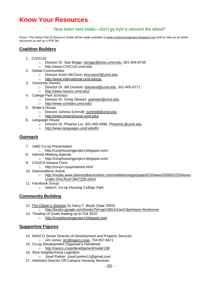# **Know Your Resources**

#### ‗Now listen here kiddo—don't go tryin'a *reinvent* the wheel!'

Pssst-The Action Plan & Resource Guide will be made available at [www.coophousingproject.blogspot.com](http://www.coophousingproject.blogspot.com/) both to view as an online document as well as a PDF file.

#### **Coalition Builders**

- 1. CIVICUS
	- o Director Dr. Sue Briggs: [sbriggs@bsos.umd.edu,](mailto:sbriggs@bsos.umd.edu) 301-405-8759
	- o http://www.CIVICUS.umd.edu
- 2. Global Communities
	- o Director [Kevin McClure](http://international.umd.edu/sparkplug/sites/Global%20Communities%20/kmcclur3@umd.edu)**:** [kmcclure3@umd.edu](mailto:kmcclure3@umd.edu)
	- o <http://www.international.umd.edu/gc>
- 3. University Honors
	- o Director Dr. Bill Dorland: [bdorland@umd.edu,](mailto:bdorland@umd.edu) 301-405-6771
	- o <http://www.honors.umd.edu/>
- 4. College Park Scholars
	- o Director Dr. Greig Stewart: [gstewart@umd.edu](mailto:%20gstewart@umd.edu)<br>o http://www.scholars.umd.edu/
	- <http://www.scholars.umd.edu/>
- 5. Writer's House
	- o Director Johnna Schmidt: [jschmidt@umd.edu](mailto:jschmidt@umd.edu)
	- o <http://www.writershouse.umd.edu/>
- 6. Language House
	- o Director Dr. Phoenix Liu: 301-405-6996, [PhoenixL@umd.edu](mailto:PhoenixL@umd.edu)
	- o <http://www.languages.umd.edu/lh/>

#### **Outreach**

- 7. UMD Co-op Presentation
	- o http://coophousingproject.blogspot.com/
- 8. Interest Meeting Agenda
	- o http://coophousingproject.blogspot.com/
- 9. COUCH Interest Form
	- o http://couch.coop/interest.html
- 10. Diamondback Article
	- o [http://media.www.diamondbackonline.com/media/storage/paper873/news/2009/02/25/News/](http://media.www.diamondbackonline.com/media/storage/paper873/news/2009/02/25/News/%20Under.One.Roof-3647228.shtml)  [Under.One.Roof-3647228.shtml](http://media.www.diamondbackonline.com/media/storage/paper873/news/2009/02/25/News/%20Under.One.Roof-3647228.shtml)
- 11. Facebook Group
	- o Search: Co-op Housing College Park

#### **Community Building**

- 12. The Citizen's Solution by Harry T. Boyte (Sept 2004).
	- o <http://books.google.com/books?id=rgmOBz2nUscC&printsec=frontcover>
- 13. Timeline of Goals leading up to Fall 2010
	- o [http://coophousingproject.blogspot.com](http://coophousingproject.blogspot.com/)

## **Supportive Figures**

- 14. NASCO Senior Director of Development and Property Services o Jim Jones: [jim@nasco.coop,](mailto:jim@nasco.coop) 734 657.8471
- 15. Co-op Development Organizer's Handbook
	- o <http://nasco.coop/development/node/138>
- 16. SGA Neighborhood Legislator
	- o Josef Parker: Josef.parker11@gmail.com
- 17. Assistant Director Off-Campus Housing Services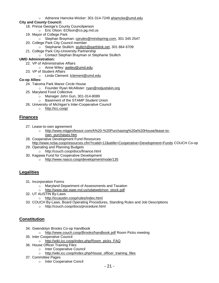- o Adrienne Hamcke-Wicker: 301-314-7249 [ahamcke@umd.edu](mailto:ahamcke@umd.edu)
- **City and County Council:**
	- 18. Prince George's County Councilperson
		- o Eric Olson: EOlson@co.pg.md.us
	- 19. Mayor of College Park
		- o Stephan Brayman: [cprules@mindspring.com,](mailto:cprules@mindspring.com) 301 345 2547
	- 20. College Park City Council member
		- o Stephanie Stullich: [stullich@earthlink.net,](mailto:stullich@earthlink.net) 301 864 6709
	- 21. College Park City-University Partnership
		- o Contact Stephan Brayman or Stephanie Stullich

#### **UMD Administration:**

- 22. VP of Administrative Affairs
	- o Anne Wiley: [awiley@umd.edu](mailto:awiley@umd.edu)
- 23. VP of Student Affairs
- o Linda Clement: [lclement@umd.edu](mailto:lclement@umd.edu)

#### **Co-op Allies:**

- 24. Takoma Park Manor Circle House
	- o Founder Ryan McAllister: [ryan@notjustskin.org](mailto:ryan@notjustskin.org)
- 25. Maryland Food Collective
	- $\circ$  Manager John Gun, 301-314-8089
	- o Basement of the STAMP Student Union
- 26. University of Michigan's Inter-Cooperative Council
	- o <http://icc.coop/>

#### **Finances**

- 27. Lease-to-own agreement
	- o [http://www.mtgprofessor.com/A%20-%20Purchasing%20a%20House/lease-to](http://www.mtgprofessor.com/A%20-%20Purchasing%20a%20House/lease-to-own_purchases.htm)[own\\_purchases.htm](http://www.mtgprofessor.com/A%20-%20Purchasing%20a%20House/lease-to-own_purchases.htm)
- 28. Cooperative Development Fund Resources <http://www.ncba.coop/resources.cfm?rcatid=12&atitle=Cooperative+Development+Funds> COUCH Co-op
- 29. Operating and Planning Budgets
	- o http://couch.coop/docs/finance.html
- 30. Kagawa Fund for Cooperative Development
	- o <http://www.nasco.coop/development/node/135>

#### **Legalities**

- 31. Incorporation Forms
	- o Maryland Department of Assessments and Taxation
	- [http://www.dat.state.md.us/sdatweb/non\\_stock.pdf](http://www.dat.state.md.us/sdatweb/non_stock.pdf)
- 32. UT AUSTIN By-Laws
	- o <http://iccaustin.coop/rules/index.html>
- 33. COUCH By-Laws, Board Operating Procedures, Standing Rules and Job Descriptions
	- o http://couch.coop/docs/procedure.html

#### **Constitution**

- 34. Gwendolyn Brooks Co-op Handbook
	- o <http://www.couch.coop/Brooks/handbook.pdf> Room Picks meeting
- 35. Inter Cooperative Council
	- o [http://wiki.icc.coop/index.php/Room\\_picks\\_FAQ](http://wiki.icc.coop/index.php/Room_picks_FAQ)
- 36. House Officer Training Files
	- o Inter Cooperative Council
	- o [http://wiki.icc.coop/index.php/House\\_officer\\_training\\_files](http://wiki.icc.coop/index.php/House_officer_training_files)
- 37. Committee Pages
	- o Inter Cooperative Concil